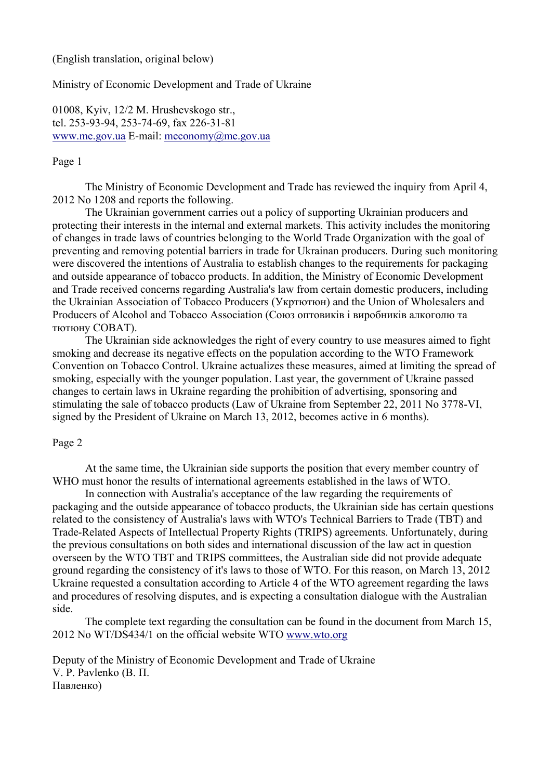# (English translation, original below)

## Ministry of Economic Development and Trade of Ukraine

01008, Kyiv, 12/2 M. Hrushevskogo str., tel. 253-93-94, 253-74-69, fax 226-31-81 www.me.gov.ua E-mail: meconomy@me.gov.ua

## Page 1

The Ministry of Economic Development and Trade has reviewed the inquiry from April 4, 2012 No 1208 and reports the following.

The Ukrainian government carries out a policy of supporting Ukrainian producers and protecting their interests in the internal and external markets. This activity includes the monitoring of changes in trade laws of countries belonging to the World Trade Organization with the goal of preventing and removing potential barriers in trade for Ukrainan producers. During such monitoring were discovered the intentions of Australia to establish changes to the requirements for packaging and outside appearance of tobacco products. In addition, the Ministry of Economic Development and Trade received concerns regarding Australia's law from certain domestic producers, including the Ukrainian Association of Tobacco Producers (Укртютюн) and the Union of Wholesalers and Producers of Alcohol and Tobacco Association (Союз оптовиків і виробників алкоголю та тютюну СОВАТ).

The Ukrainian side acknowledges the right of every country to use measures aimed to fight smoking and decrease its negative effects on the population according to the WTO Framework Convention on Tobacco Control. Ukraine actualizes these measures, aimed at limiting the spread of smoking, especially with the younger population. Last year, the government of Ukraine passed changes to certain laws in Ukraine regarding the prohibition of advertising, sponsoring and stimulating the sale of tobacco products (Law of Ukraine from September 22, 2011 No 3778-VI, signed by the President of Ukraine on March 13, 2012, becomes active in 6 months).

# Page 2

At the same time, the Ukrainian side supports the position that every member country of WHO must honor the results of international agreements established in the laws of WTO.

In connection with Australia's acceptance of the law regarding the requirements of packaging and the outside appearance of tobacco products, the Ukrainian side has certain questions related to the consistency of Australia's laws with WTO's Technical Barriers to Trade (TBT) and Trade-Related Aspects of Intellectual Property Rights (TRIPS) agreements. Unfortunately, during the previous consultations on both sides and international discussion of the law act in question overseen by the WTO TBT and TRIPS committees, the Australian side did not provide adequate ground regarding the consistency of it's laws to those of WTO. For this reason, on March 13, 2012 Ukraine requested a consultation according to Article 4 of the WTO agreement regarding the laws and procedures of resolving disputes, and is expecting a consultation dialogue with the Australian side.

The complete text regarding the consultation can be found in the document from March 15, 2012 No WT/DS434/1 on the official website WTO www.wto.org

Deputy of the Ministry of Economic Development and Trade of Ukraine V. P. Pavlenko (В. П. Павленко)